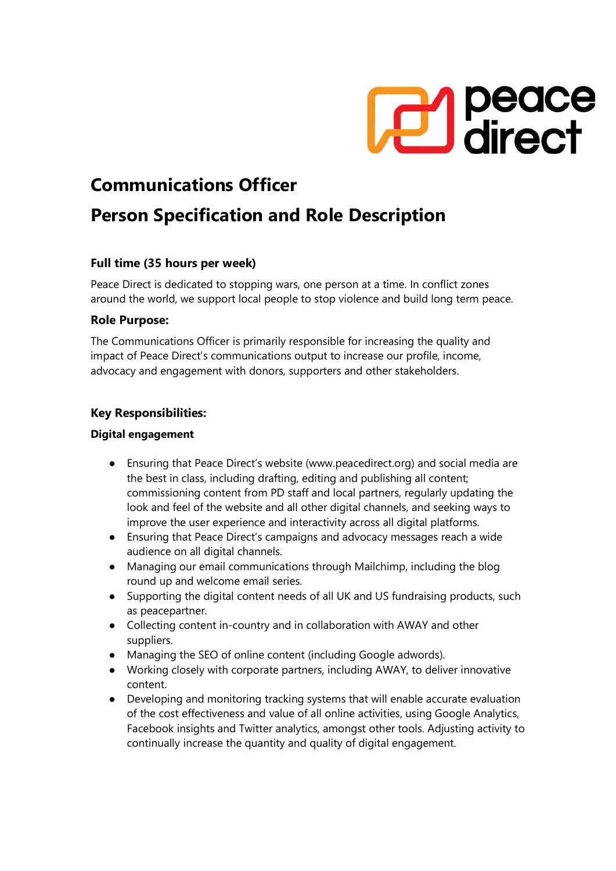

# Communications Officer

# Person Specification and Role Description

# Full time (35 hours per week)

Peace Direct is dedicated to stopping wars, one person at a time. In conflict zones around the world, we support local people to stop violence and build long term peace.

# Role Purpose:

The Communications Officer is primarily responsible for increasing the quality and impact of Peace Direct's communications output to increase our profile, income, advocacy and engagement with donors, supporters and other stakeholders.

# Key Responsibilities:

# Digital engagement

- Ensuring that Peace Direct's website (www.peacedirect.org) and social media are the best in class, including drafting, editing and publishing all content; commissioning content from PD staff and local partners, regularly updating the look and feel of the website and all other digital channels, and seeking ways to improve the user experience and interactivity across all digital platforms.
- Ensuring that Peace Direct's campaigns and advocacy messages reach a wide audience on all digital channels.
- Managing our email communications through Mailchimp, including the blog round up and welcome email series.
- Supporting the digital content needs of all UK and US fundraising products, such as peacepartner.
- Collecting content in-country and in collaboration with AWAY and other suppliers.
- Managing the SEO of online content (including Google adwords).
- Working closely with corporate partners, including AWAY, to deliver innovative content.
- Developing and monitoring tracking systems that will enable accurate evaluation of the cost effectiveness and value of all online activities, using Google Analytics, Facebook insights and Twitter analytics, amongst other tools. Adjusting activity to continually increase the quantity and quality of digital engagement.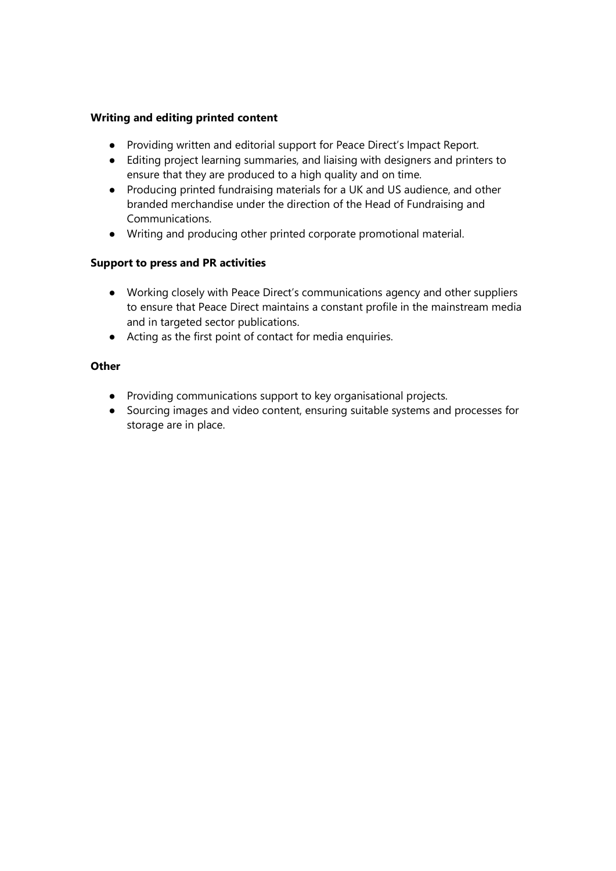### Writing and editing printed content

- Providing written and editorial support for Peace Direct's Impact Report.
- Editing project learning summaries, and liaising with designers and printers to ensure that they are produced to a high quality and on time.
- Producing printed fundraising materials for a UK and US audience, and other branded merchandise under the direction of the Head of Fundraising and Communications.
- Writing and producing other printed corporate promotional material.

# Support to press and PR activities

- Working closely with Peace Direct's communications agency and other suppliers to ensure that Peace Direct maintains a constant profile in the mainstream media and in targeted sector publications.
- Acting as the first point of contact for media enquiries.

# **Other**

- Providing communications support to key organisational projects.
- Sourcing images and video content, ensuring suitable systems and processes for storage are in place.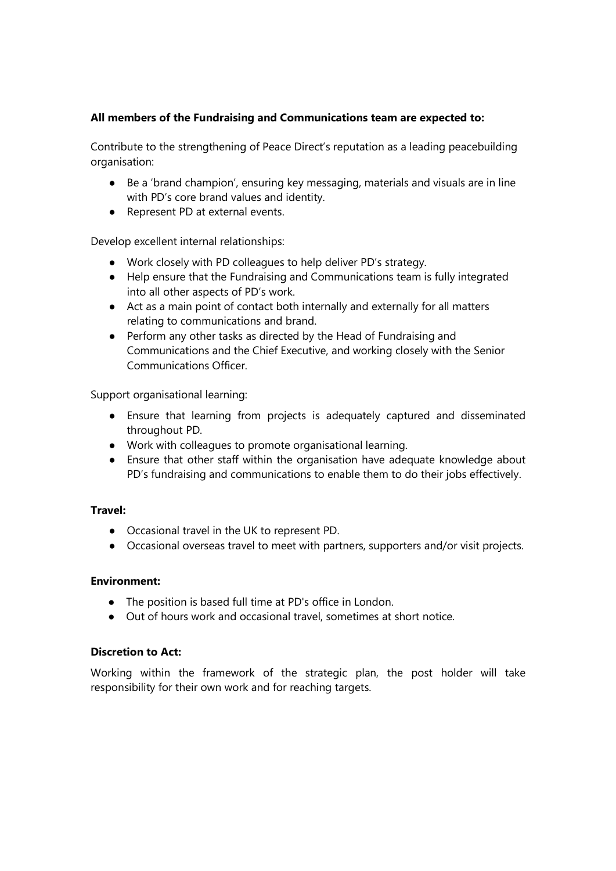# All members of the Fundraising and Communications team are expected to:

Contribute to the strengthening of Peace Direct's reputation as a leading peacebuilding organisation:

- Be a 'brand champion', ensuring key messaging, materials and visuals are in line with PD's core brand values and identity.
- Represent PD at external events.

Develop excellent internal relationships:

- Work closely with PD colleagues to help deliver PD's strategy.
- Help ensure that the Fundraising and Communications team is fully integrated into all other aspects of PD's work.
- Act as a main point of contact both internally and externally for all matters relating to communications and brand.
- Perform any other tasks as directed by the Head of Fundraising and Communications and the Chief Executive, and working closely with the Senior Communications Officer.

Support organisational learning:

- Ensure that learning from projects is adequately captured and disseminated throughout PD.
- Work with colleagues to promote organisational learning.
- Ensure that other staff within the organisation have adequate knowledge about PD's fundraising and communications to enable them to do their jobs effectively.

#### Travel:

- Occasional travel in the UK to represent PD.
- Occasional overseas travel to meet with partners, supporters and/or visit projects.

#### Environment:

- The position is based full time at PD's office in London.
- Out of hours work and occasional travel, sometimes at short notice.

#### Discretion to Act:

Working within the framework of the strategic plan, the post holder will take responsibility for their own work and for reaching targets.